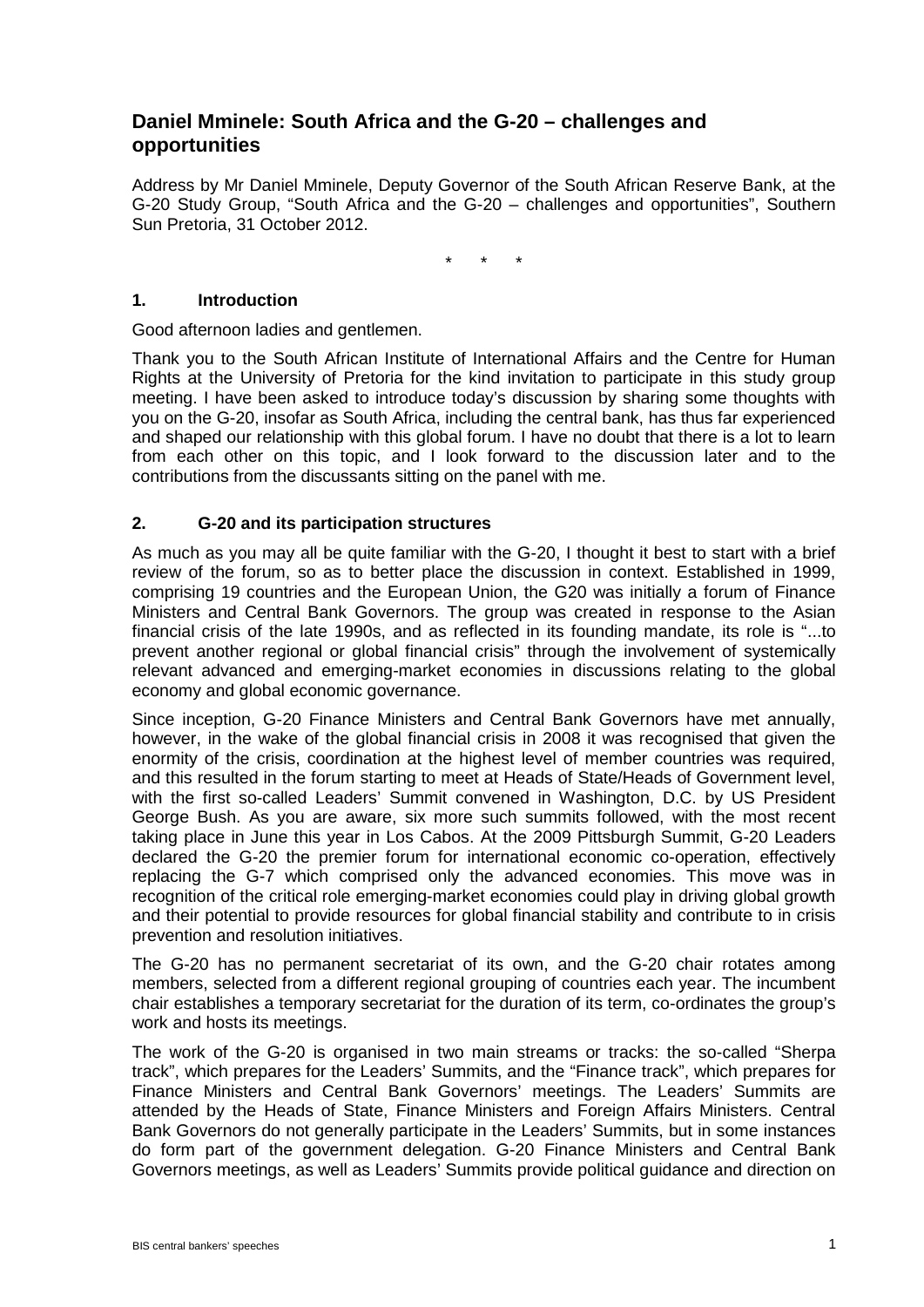# **Daniel Mminele: South Africa and the G-20 – challenges and opportunities**

Address by Mr Daniel Mminele, Deputy Governor of the South African Reserve Bank, at the G-20 Study Group, "South Africa and the G-20 – challenges and opportunities", Southern Sun Pretoria, 31 October 2012.

\* \* \*

#### **1. Introduction**

Good afternoon ladies and gentlemen.

Thank you to the South African Institute of International Affairs and the Centre for Human Rights at the University of Pretoria for the kind invitation to participate in this study group meeting. I have been asked to introduce today's discussion by sharing some thoughts with you on the G-20, insofar as South Africa, including the central bank, has thus far experienced and shaped our relationship with this global forum. I have no doubt that there is a lot to learn from each other on this topic, and I look forward to the discussion later and to the contributions from the discussants sitting on the panel with me.

## **2. G-20 and its participation structures**

As much as you may all be quite familiar with the G-20, I thought it best to start with a brief review of the forum, so as to better place the discussion in context. Established in 1999, comprising 19 countries and the European Union, the G20 was initially a forum of Finance Ministers and Central Bank Governors. The group was created in response to the Asian financial crisis of the late 1990s, and as reflected in its founding mandate, its role is "...to prevent another regional or global financial crisis" through the involvement of systemically relevant advanced and emerging-market economies in discussions relating to the global economy and global economic governance.

Since inception, G-20 Finance Ministers and Central Bank Governors have met annually, however, in the wake of the global financial crisis in 2008 it was recognised that given the enormity of the crisis, coordination at the highest level of member countries was required, and this resulted in the forum starting to meet at Heads of State/Heads of Government level, with the first so-called Leaders' Summit convened in Washington, D.C. by US President George Bush. As you are aware, six more such summits followed, with the most recent taking place in June this year in Los Cabos. At the 2009 Pittsburgh Summit, G-20 Leaders declared the G-20 the premier forum for international economic co-operation, effectively replacing the G-7 which comprised only the advanced economies. This move was in recognition of the critical role emerging-market economies could play in driving global growth and their potential to provide resources for global financial stability and contribute to in crisis prevention and resolution initiatives.

The G-20 has no permanent secretariat of its own, and the G-20 chair rotates among members, selected from a different regional grouping of countries each year. The incumbent chair establishes a temporary secretariat for the duration of its term, co-ordinates the group's work and hosts its meetings.

The work of the G-20 is organised in two main streams or tracks: the so-called "Sherpa track", which prepares for the Leaders' Summits, and the "Finance track", which prepares for Finance Ministers and Central Bank Governors' meetings. The Leaders' Summits are attended by the Heads of State, Finance Ministers and Foreign Affairs Ministers. Central Bank Governors do not generally participate in the Leaders' Summits, but in some instances do form part of the government delegation. G-20 Finance Ministers and Central Bank Governors meetings, as well as Leaders' Summits provide political guidance and direction on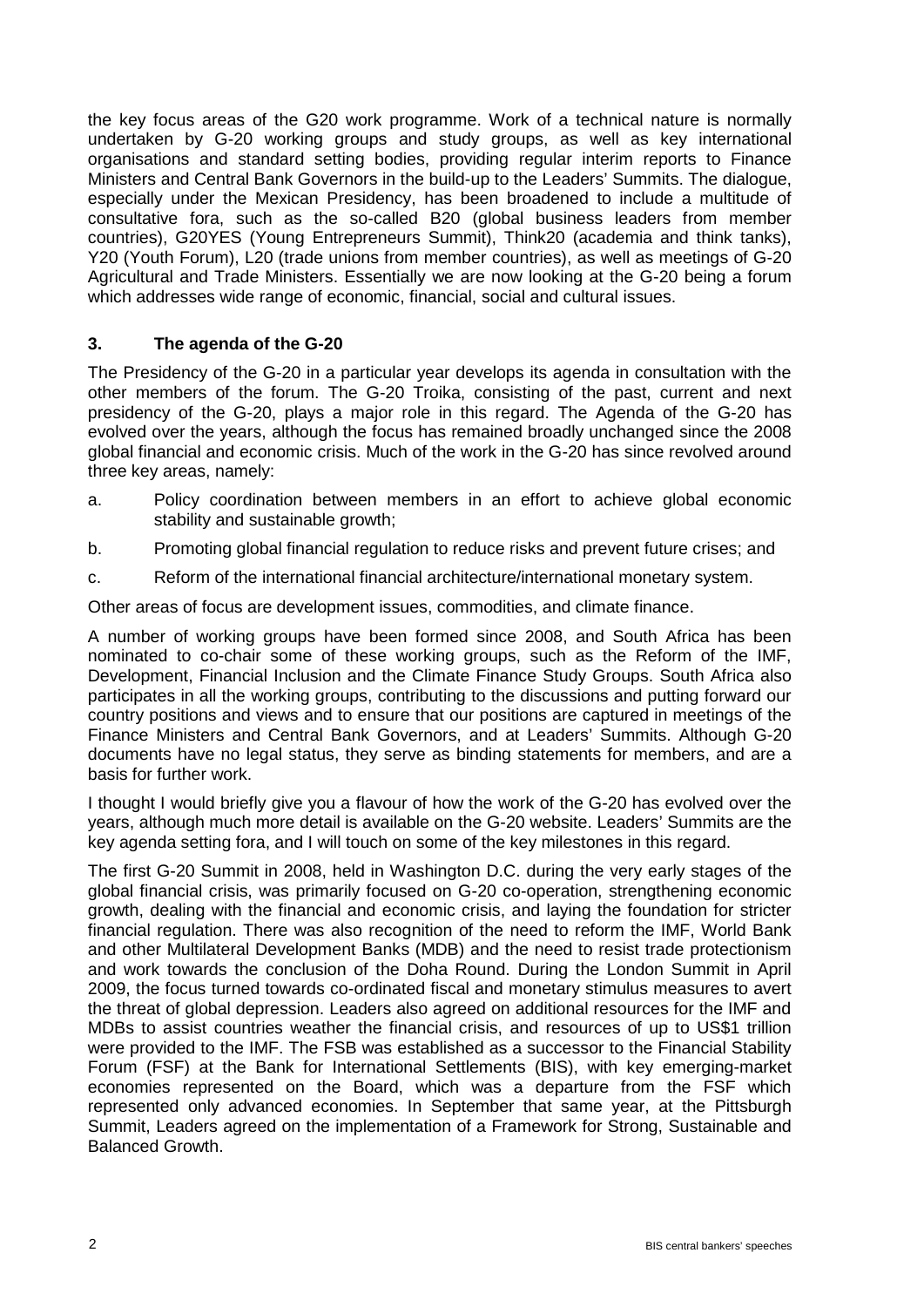the key focus areas of the G20 work programme. Work of a technical nature is normally undertaken by G-20 working groups and study groups, as well as key international organisations and standard setting bodies, providing regular interim reports to Finance Ministers and Central Bank Governors in the build-up to the Leaders' Summits. The dialogue, especially under the Mexican Presidency, has been broadened to include a multitude of consultative fora, such as the so-called B20 (global business leaders from member countries), G20YES (Young Entrepreneurs Summit), Think20 (academia and think tanks), Y20 (Youth Forum), L20 (trade unions from member countries), as well as meetings of G-20 Agricultural and Trade Ministers. Essentially we are now looking at the G-20 being a forum which addresses wide range of economic, financial, social and cultural issues.

## **3. The agenda of the G-20**

The Presidency of the G-20 in a particular year develops its agenda in consultation with the other members of the forum. The G-20 Troika, consisting of the past, current and next presidency of the G-20, plays a major role in this regard. The Agenda of the G-20 has evolved over the years, although the focus has remained broadly unchanged since the 2008 global financial and economic crisis. Much of the work in the G-20 has since revolved around three key areas, namely:

- a. Policy coordination between members in an effort to achieve global economic stability and sustainable growth;
- b. Promoting global financial regulation to reduce risks and prevent future crises; and
- c. Reform of the international financial architecture/international monetary system.

Other areas of focus are development issues, commodities, and climate finance.

A number of working groups have been formed since 2008, and South Africa has been nominated to co-chair some of these working groups, such as the Reform of the IMF, Development, Financial Inclusion and the Climate Finance Study Groups. South Africa also participates in all the working groups, contributing to the discussions and putting forward our country positions and views and to ensure that our positions are captured in meetings of the Finance Ministers and Central Bank Governors, and at Leaders' Summits. Although G-20 documents have no legal status, they serve as binding statements for members, and are a basis for further work.

I thought I would briefly give you a flavour of how the work of the G-20 has evolved over the years, although much more detail is available on the G-20 website. Leaders' Summits are the key agenda setting fora, and I will touch on some of the key milestones in this regard.

The first G-20 Summit in 2008, held in Washington D.C. during the very early stages of the global financial crisis, was primarily focused on G-20 co-operation, strengthening economic growth, dealing with the financial and economic crisis, and laying the foundation for stricter financial regulation. There was also recognition of the need to reform the IMF, World Bank and other Multilateral Development Banks (MDB) and the need to resist trade protectionism and work towards the conclusion of the Doha Round. During the London Summit in April 2009, the focus turned towards co-ordinated fiscal and monetary stimulus measures to avert the threat of global depression. Leaders also agreed on additional resources for the IMF and MDBs to assist countries weather the financial crisis, and resources of up to US\$1 trillion were provided to the IMF. The FSB was established as a successor to the Financial Stability Forum (FSF) at the Bank for International Settlements (BIS), with key emerging-market economies represented on the Board, which was a departure from the FSF which represented only advanced economies. In September that same year, at the Pittsburgh Summit, Leaders agreed on the implementation of a Framework for Strong, Sustainable and Balanced Growth.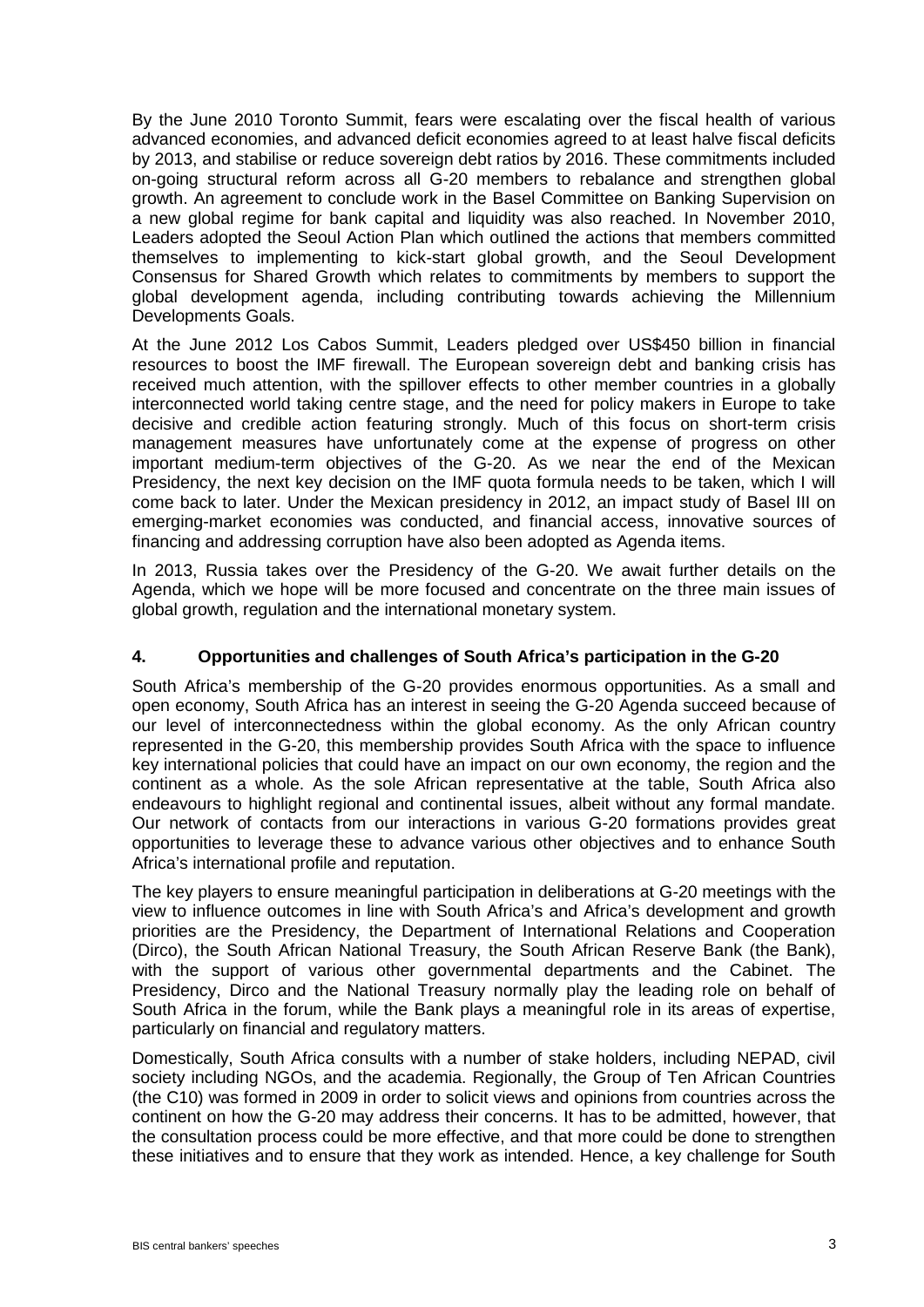By the June 2010 Toronto Summit, fears were escalating over the fiscal health of various advanced economies, and advanced deficit economies agreed to at least halve fiscal deficits by 2013, and stabilise or reduce sovereign debt ratios by 2016. These commitments included on-going structural reform across all G-20 members to rebalance and strengthen global growth. An agreement to conclude work in the Basel Committee on Banking Supervision on a new global regime for bank capital and liquidity was also reached. In November 2010, Leaders adopted the Seoul Action Plan which outlined the actions that members committed themselves to implementing to kick-start global growth, and the Seoul Development Consensus for Shared Growth which relates to commitments by members to support the global development agenda, including contributing towards achieving the Millennium Developments Goals.

At the June 2012 Los Cabos Summit, Leaders pledged over US\$450 billion in financial resources to boost the IMF firewall. The European sovereign debt and banking crisis has received much attention, with the spillover effects to other member countries in a globally interconnected world taking centre stage, and the need for policy makers in Europe to take decisive and credible action featuring strongly. Much of this focus on short-term crisis management measures have unfortunately come at the expense of progress on other important medium-term objectives of the G-20. As we near the end of the Mexican Presidency, the next key decision on the IMF quota formula needs to be taken, which I will come back to later. Under the Mexican presidency in 2012, an impact study of Basel III on emerging-market economies was conducted, and financial access, innovative sources of financing and addressing corruption have also been adopted as Agenda items.

In 2013, Russia takes over the Presidency of the G-20. We await further details on the Agenda, which we hope will be more focused and concentrate on the three main issues of global growth, regulation and the international monetary system.

#### **4. Opportunities and challenges of South Africa's participation in the G-20**

South Africa's membership of the G-20 provides enormous opportunities. As a small and open economy, South Africa has an interest in seeing the G-20 Agenda succeed because of our level of interconnectedness within the global economy. As the only African country represented in the G-20, this membership provides South Africa with the space to influence key international policies that could have an impact on our own economy, the region and the continent as a whole. As the sole African representative at the table, South Africa also endeavours to highlight regional and continental issues, albeit without any formal mandate. Our network of contacts from our interactions in various G-20 formations provides great opportunities to leverage these to advance various other objectives and to enhance South Africa's international profile and reputation.

The key players to ensure meaningful participation in deliberations at G-20 meetings with the view to influence outcomes in line with South Africa's and Africa's development and growth priorities are the Presidency, the Department of International Relations and Cooperation (Dirco), the South African National Treasury, the South African Reserve Bank (the Bank), with the support of various other governmental departments and the Cabinet. The Presidency, Dirco and the National Treasury normally play the leading role on behalf of South Africa in the forum, while the Bank plays a meaningful role in its areas of expertise, particularly on financial and regulatory matters.

Domestically, South Africa consults with a number of stake holders, including NEPAD, civil society including NGOs, and the academia. Regionally, the Group of Ten African Countries (the C10) was formed in 2009 in order to solicit views and opinions from countries across the continent on how the G-20 may address their concerns. It has to be admitted, however, that the consultation process could be more effective, and that more could be done to strengthen these initiatives and to ensure that they work as intended. Hence, a key challenge for South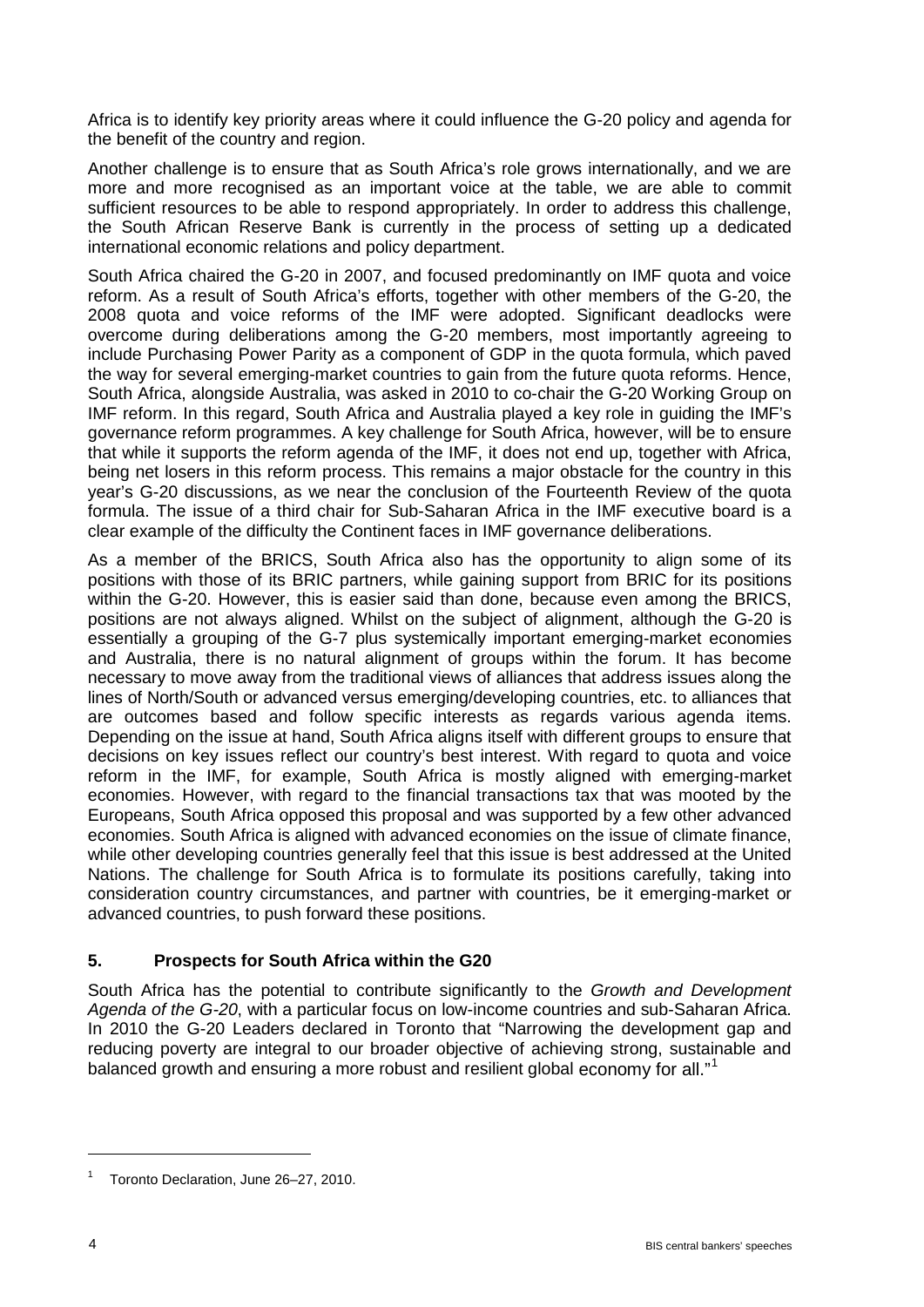Africa is to identify key priority areas where it could influence the G-20 policy and agenda for the benefit of the country and region.

Another challenge is to ensure that as South Africa's role grows internationally, and we are more and more recognised as an important voice at the table, we are able to commit sufficient resources to be able to respond appropriately. In order to address this challenge, the South African Reserve Bank is currently in the process of setting up a dedicated international economic relations and policy department.

South Africa chaired the G-20 in 2007, and focused predominantly on IMF quota and voice reform. As a result of South Africa's efforts, together with other members of the G-20, the 2008 quota and voice reforms of the IMF were adopted. Significant deadlocks were overcome during deliberations among the G-20 members, most importantly agreeing to include Purchasing Power Parity as a component of GDP in the quota formula, which paved the way for several emerging-market countries to gain from the future quota reforms. Hence, South Africa, alongside Australia, was asked in 2010 to co-chair the G-20 Working Group on IMF reform. In this regard, South Africa and Australia played a key role in guiding the IMF's governance reform programmes. A key challenge for South Africa, however, will be to ensure that while it supports the reform agenda of the IMF, it does not end up, together with Africa, being net losers in this reform process. This remains a major obstacle for the country in this year's G-20 discussions, as we near the conclusion of the Fourteenth Review of the quota formula. The issue of a third chair for Sub-Saharan Africa in the IMF executive board is a clear example of the difficulty the Continent faces in IMF governance deliberations.

As a member of the BRICS, South Africa also has the opportunity to align some of its positions with those of its BRIC partners, while gaining support from BRIC for its positions within the G-20. However, this is easier said than done, because even among the BRICS, positions are not always aligned. Whilst on the subject of alignment, although the G-20 is essentially a grouping of the G-7 plus systemically important emerging-market economies and Australia, there is no natural alignment of groups within the forum. It has become necessary to move away from the traditional views of alliances that address issues along the lines of North/South or advanced versus emerging/developing countries, etc. to alliances that are outcomes based and follow specific interests as regards various agenda items. Depending on the issue at hand, South Africa aligns itself with different groups to ensure that decisions on key issues reflect our country's best interest. With regard to quota and voice reform in the IMF, for example, South Africa is mostly aligned with emerging-market economies. However, with regard to the financial transactions tax that was mooted by the Europeans, South Africa opposed this proposal and was supported by a few other advanced economies. South Africa is aligned with advanced economies on the issue of climate finance, while other developing countries generally feel that this issue is best addressed at the United Nations. The challenge for South Africa is to formulate its positions carefully, taking into consideration country circumstances, and partner with countries, be it emerging-market or advanced countries, to push forward these positions.

#### **5. Prospects for South Africa within the G20**

South Africa has the potential to contribute significantly to the *Growth and Development Agenda of the G-20*, with a particular focus on low-income countries and sub-Saharan Africa. In 2010 the G-20 Leaders declared in Toronto that "Narrowing the development gap and reducing poverty are integral to our broader objective of achieving strong, sustainable and balanced growth and ensuring a more robust and resilient global economy for all."<sup>[1](#page-3-0)</sup>

-

<span id="page-3-0"></span><sup>1</sup> Toronto Declaration, June 26–27, 2010.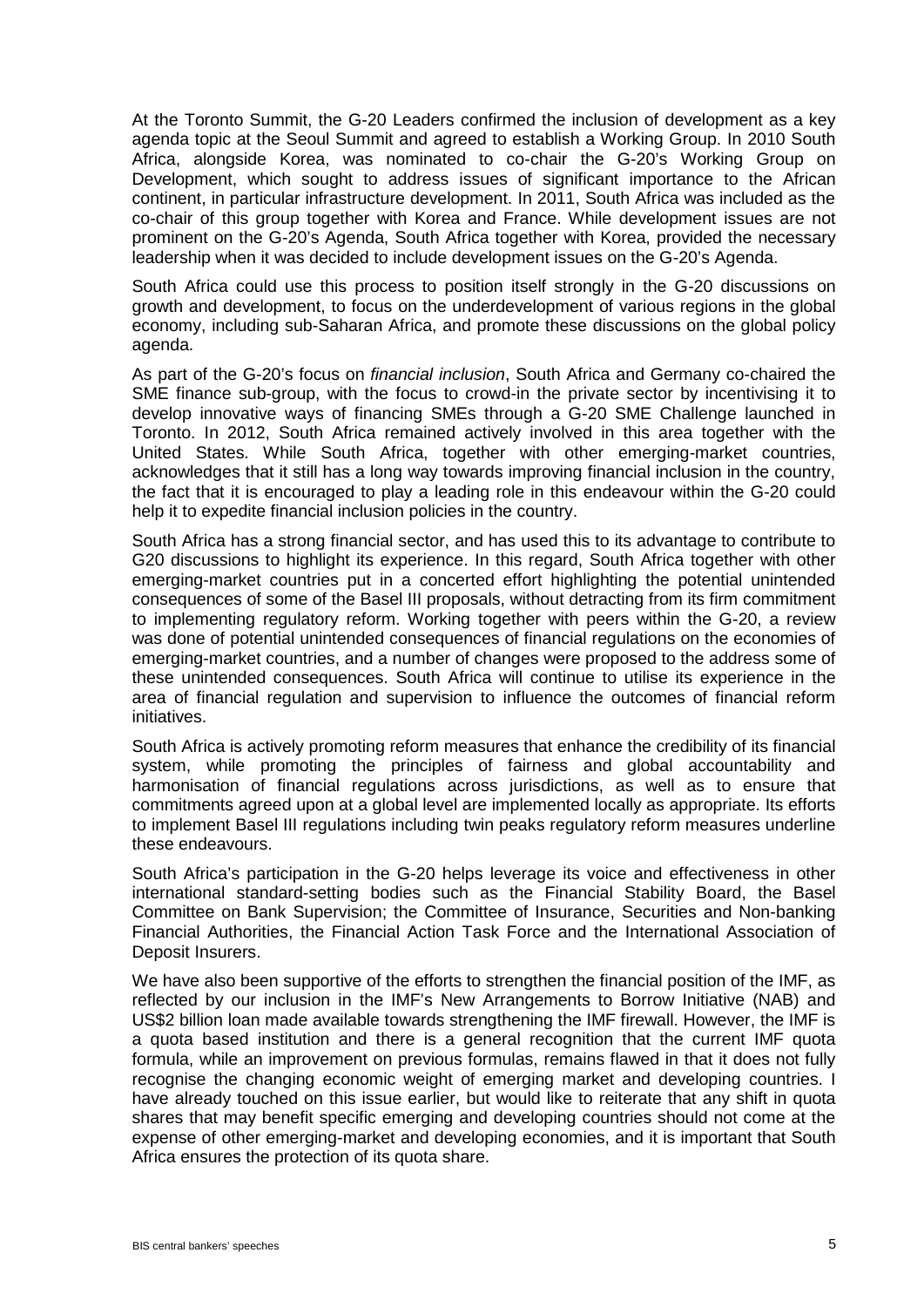At the Toronto Summit, the G-20 Leaders confirmed the inclusion of development as a key agenda topic at the Seoul Summit and agreed to establish a Working Group. In 2010 South Africa, alongside Korea, was nominated to co-chair the G-20's Working Group on Development, which sought to address issues of significant importance to the African continent, in particular infrastructure development. In 2011, South Africa was included as the co-chair of this group together with Korea and France. While development issues are not prominent on the G-20's Agenda, South Africa together with Korea, provided the necessary leadership when it was decided to include development issues on the G-20's Agenda.

South Africa could use this process to position itself strongly in the G-20 discussions on growth and development, to focus on the underdevelopment of various regions in the global economy, including sub-Saharan Africa, and promote these discussions on the global policy agenda.

As part of the G-20's focus on *financial inclusion*, South Africa and Germany co-chaired the SME finance sub-group, with the focus to crowd-in the private sector by incentivising it to develop innovative ways of financing SMEs through a G-20 SME Challenge launched in Toronto. In 2012, South Africa remained actively involved in this area together with the United States. While South Africa, together with other emerging-market countries, acknowledges that it still has a long way towards improving financial inclusion in the country, the fact that it is encouraged to play a leading role in this endeavour within the G-20 could help it to expedite financial inclusion policies in the country.

South Africa has a strong financial sector, and has used this to its advantage to contribute to G20 discussions to highlight its experience. In this regard, South Africa together with other emerging-market countries put in a concerted effort highlighting the potential unintended consequences of some of the Basel III proposals, without detracting from its firm commitment to implementing regulatory reform. Working together with peers within the G-20, a review was done of potential unintended consequences of financial regulations on the economies of emerging-market countries, and a number of changes were proposed to the address some of these unintended consequences. South Africa will continue to utilise its experience in the area of financial regulation and supervision to influence the outcomes of financial reform initiatives.

South Africa is actively promoting reform measures that enhance the credibility of its financial system, while promoting the principles of fairness and global accountability and harmonisation of financial regulations across jurisdictions, as well as to ensure that commitments agreed upon at a global level are implemented locally as appropriate. Its efforts to implement Basel III regulations including twin peaks regulatory reform measures underline these endeavours.

South Africa's participation in the G-20 helps leverage its voice and effectiveness in other international standard-setting bodies such as the Financial Stability Board, the Basel Committee on Bank Supervision; the Committee of Insurance, Securities and Non-banking Financial Authorities, the Financial Action Task Force and the International Association of Deposit Insurers.

We have also been supportive of the efforts to strengthen the financial position of the IMF, as reflected by our inclusion in the IMF's New Arrangements to Borrow Initiative (NAB) and US\$2 billion loan made available towards strengthening the IMF firewall. However, the IMF is a quota based institution and there is a general recognition that the current IMF quota formula, while an improvement on previous formulas, remains flawed in that it does not fully recognise the changing economic weight of emerging market and developing countries. I have already touched on this issue earlier, but would like to reiterate that any shift in quota shares that may benefit specific emerging and developing countries should not come at the expense of other emerging-market and developing economies, and it is important that South Africa ensures the protection of its quota share.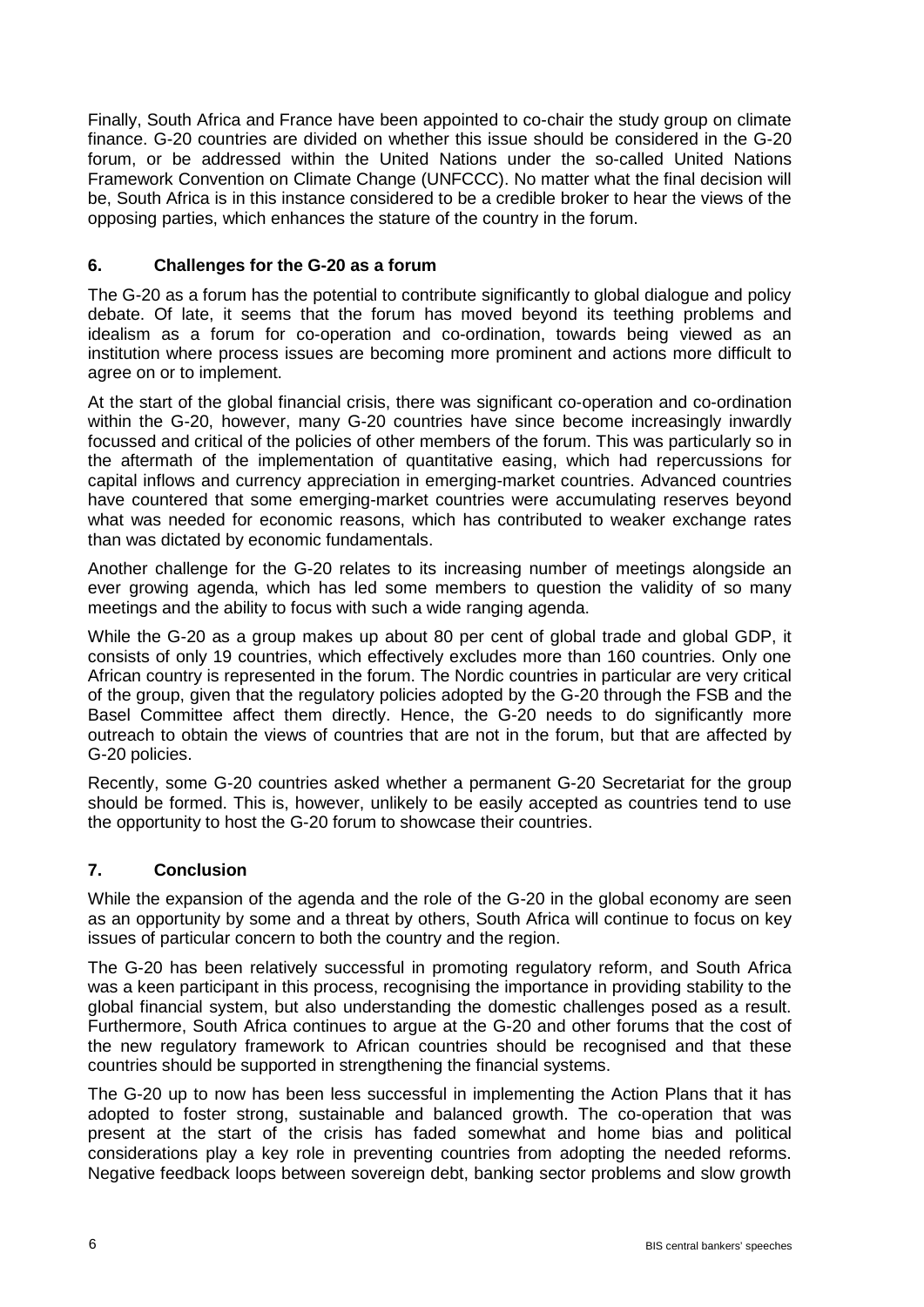Finally, South Africa and France have been appointed to co-chair the study group on climate finance. G-20 countries are divided on whether this issue should be considered in the G-20 forum, or be addressed within the United Nations under the so-called United Nations Framework Convention on Climate Change (UNFCCC). No matter what the final decision will be, South Africa is in this instance considered to be a credible broker to hear the views of the opposing parties, which enhances the stature of the country in the forum.

## **6. Challenges for the G-20 as a forum**

The G-20 as a forum has the potential to contribute significantly to global dialogue and policy debate. Of late, it seems that the forum has moved beyond its teething problems and idealism as a forum for co-operation and co-ordination, towards being viewed as an institution where process issues are becoming more prominent and actions more difficult to agree on or to implement.

At the start of the global financial crisis, there was significant co-operation and co-ordination within the G-20, however, many G-20 countries have since become increasingly inwardly focussed and critical of the policies of other members of the forum. This was particularly so in the aftermath of the implementation of quantitative easing, which had repercussions for capital inflows and currency appreciation in emerging-market countries. Advanced countries have countered that some emerging-market countries were accumulating reserves beyond what was needed for economic reasons, which has contributed to weaker exchange rates than was dictated by economic fundamentals.

Another challenge for the G-20 relates to its increasing number of meetings alongside an ever growing agenda, which has led some members to question the validity of so many meetings and the ability to focus with such a wide ranging agenda.

While the G-20 as a group makes up about 80 per cent of global trade and global GDP, it consists of only 19 countries, which effectively excludes more than 160 countries. Only one African country is represented in the forum. The Nordic countries in particular are very critical of the group, given that the regulatory policies adopted by the G-20 through the FSB and the Basel Committee affect them directly. Hence, the G-20 needs to do significantly more outreach to obtain the views of countries that are not in the forum, but that are affected by G-20 policies.

Recently, some G-20 countries asked whether a permanent G-20 Secretariat for the group should be formed. This is, however, unlikely to be easily accepted as countries tend to use the opportunity to host the G-20 forum to showcase their countries.

#### **7. Conclusion**

While the expansion of the agenda and the role of the G-20 in the global economy are seen as an opportunity by some and a threat by others, South Africa will continue to focus on key issues of particular concern to both the country and the region.

The G-20 has been relatively successful in promoting regulatory reform, and South Africa was a keen participant in this process, recognising the importance in providing stability to the global financial system, but also understanding the domestic challenges posed as a result. Furthermore, South Africa continues to argue at the G-20 and other forums that the cost of the new regulatory framework to African countries should be recognised and that these countries should be supported in strengthening the financial systems.

The G-20 up to now has been less successful in implementing the Action Plans that it has adopted to foster strong, sustainable and balanced growth. The co-operation that was present at the start of the crisis has faded somewhat and home bias and political considerations play a key role in preventing countries from adopting the needed reforms. Negative feedback loops between sovereign debt, banking sector problems and slow growth